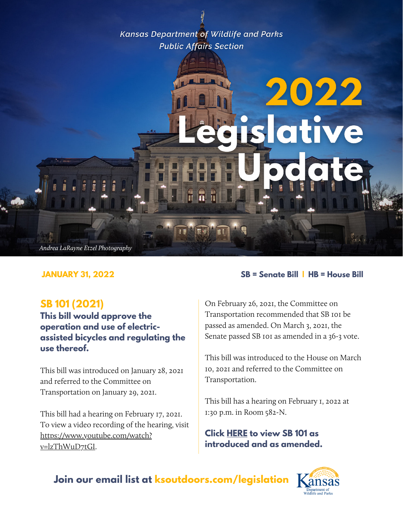**Kansas Department of Wildlife and Parks Public Affairs Section** 

# 2022 slative Andrea LaRayne Etzel Photography

# **SB 101 (2021)**

**This bill would approve the operation and use of electricassisted bicycles and regulating the use thereof.**

This bill was introduced on January 28, 2021 and referred to the Committee on Transportation on January 29, 2021.

This bill had a hearing on February 17, 2021. To view a video recording of the hearing, visit [https://www.youtube.com/watch?](https://www.youtube.com/watch?v=lzThWuD7tGI) v=lzThWuD7tGI.

#### **JANUARY 31, 2022 SB = Senate Bill | HB = House Bill**

On February 26, 2021, the Committee on Transportation recommended that SB 101 be passed as amended. On March 3, 2021, the Senate passed SB 101 as amended in a 36-3 vote.

This bill was introduced to the House on March 10, 2021 and referred to the Committee on Transportation.

This bill has a hearing on February 1, 2022 at 1:30 p.m. in Room 582-N.

**Click [HERE](http://kslegislature.org/li/b2021_22/measures/sb101/) to view SB 101 as introduced and as amended.**

**Join our email list at ksoutdoors.com/legislation**

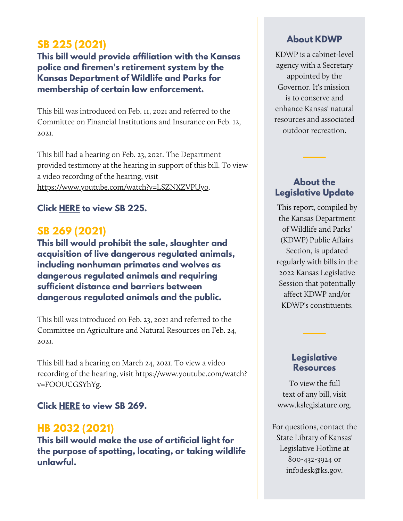# **SB 225 (2021)**

**This bill would provide affiliation with the Kansas police and firemen's retirement system by the Kansas Department of Wildlife and Parks for membership of certain law enforcement.**

This bill was introduced on Feb. 11, 2021 and referred to the Committee on Financial Institutions and Insurance on Feb. 12, 2021.

This bill had a hearing on Feb. 23, 2021. The Department provided testimony at the hearing in support of this bill. To view a video recording of the hearing, visit [https://www.youtube.com/watch?v=LSZNXZVPUyo.](https://www.youtube.com/watch?v=LSZNXZVPUyo)

#### **Click [HERE](http://kslegislature.org/li/b2021_22/measures/sb225/) to view SB 225.**

# **SB 269 (2021)**

**This bill would prohibit the sale, slaughter and acquisition of live dangerous regulated animals, including nonhuman primates and wolves as dangerous regulated animals and requiring sufficient distance and barriers between dangerous regulated animals and the public.**

This bill was introduced on Feb. 23, 2021 and referred to the Committee on Agriculture and Natural Resources on Feb. 24, 2021.

This bill had a hearing on March 24, 2021. To view a video recording of the hearing, visit [https://www.youtube.com/watch?](https://www.youtube.com/watch?v=FOOUCGSYhYg) v=FOOUCGSYhYg.

#### **Click [HERE](http://kslegislature.org/li/b2021_22/measures/sb269/) to view SB 269.**

# **HB 2032 (2021)**

**This bill would make the use of artificial light for the purpose of spotting, locating, or taking wildlife unlawful.**

#### **About KDWP**

KDWP is a cabinet-level agency with a Secretary appointed by the Governor. It's mission is to conserve and enhance Kansas' natural resources and associated outdoor recreation.

#### **About the Legislative Update**

This report, compiled by the Kansas Department of Wildlife and Parks' (KDWP) Public Affairs Section, is updated regularly with bills in the 2022 Kansas Legislative Session that potentially affect KDWP and/or KDWP's constituents.

#### **Legislative Resources**

To view the full text of any bill, visit www.kslegislature.org.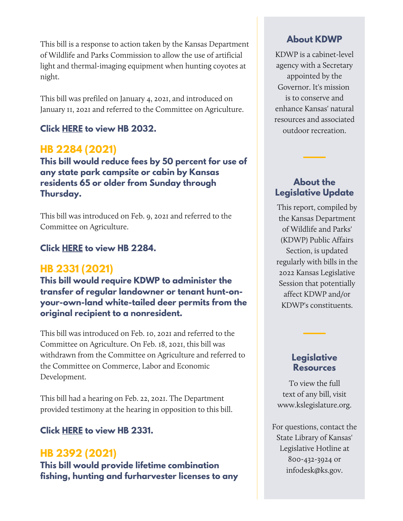This bill is a response to action taken by the Kansas Department of Wildlife and Parks Commission to allow the use of artificial light and thermal-imaging equipment when hunting coyotes at night.

This bill was prefiled on January 4, 2021, and introduced on January 11, 2021 and referred to the Committee on Agriculture.

## **Click [HERE](http://kslegislature.org/li/b2021_22/measures/hb2032/) to view HB 2032.**

# **HB 2284 (2021)**

**This bill would reduce fees by 50 percent for use of any state park campsite or cabin by Kansas residents 65 or older from Sunday through Thursday.**

This bill was introduced on Feb. 9, 2021 and referred to the Committee on Agriculture.

#### **Click [HERE](http://kslegislature.org/li/b2021_22/measures/hb2284/) to view HB 2284.**

# **HB 2331 (2021)**

**This bill would require KDWP to administer the transfer of regular landowner or tenant hunt-onyour-own-land white-tailed deer permits from the original recipient to a nonresident.**

This bill was introduced on Feb. 10, 2021 and referred to the Committee on Agriculture. On Feb. 18, 2021, this bill was withdrawn from the Committee on Agriculture and referred to the Committee on Commerce, Labor and Economic Development.

This bill had a hearing on Feb. 22, 2021. The Department provided testimony at the hearing in opposition to this bill.

#### **Click [HERE](http://kslegislature.org/li/b2021_22/measures/hb2331/) to view HB 2331.**

# **HB 2392 (2021)**

**This bill would provide lifetime combination fishing, hunting and furharvester licenses to any**

#### **About KDWP**

KDWP is a cabinet-level agency with a Secretary appointed by the Governor. It's mission is to conserve and enhance Kansas' natural resources and associated outdoor recreation.

## **About the Legislative Update**

This report, compiled by the Kansas Department of Wildlife and Parks' (KDWP) Public Affairs Section, is updated regularly with bills in the 2022 Kansas Legislative Session that potentially affect KDWP and/or KDWP's constituents.

#### **Legislative Resources**

To view the full text of any bill, visit www.kslegislature.org.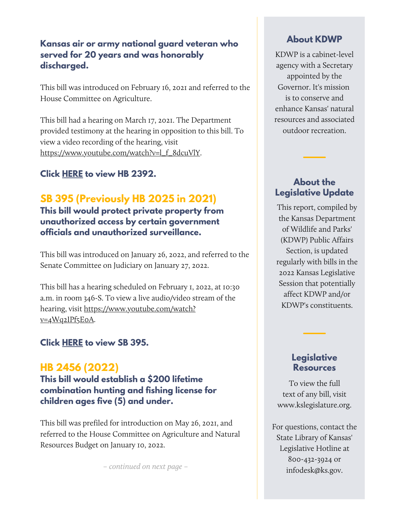#### **Kansas air or army national guard veteran who served for 20 years and was honorably discharged.**

This bill was introduced on February 16, 2021 and referred to the House Committee on Agriculture.

This bill had a hearing on March 17, 2021. The Department provided testimony at the hearing in opposition to this bill. To view a video recording of the hearing, visit [https://www.youtube.com/watch?v=l\\_f\\_8dcuVlY](https://www.youtube.com/watch?v=l_f_8dcuVlY).

## **Click [HERE](http://kslegislature.org/li/b2021_22/measures/hb2392/) to view HB 2392.**

# **SB 395 (Previously HB 2025 in 2021)**

**This bill would protect private property from unauthorized access by certain government officials and unauthorized surveillance.**

This bill was introduced on January 26, 2022, and referred to the Senate [Committee](http://kslegislature.org/li/b2021_22/committees/ctte_s_jud_1/) on Judiciary on January 27, 2022.

This bill has a hearing scheduled on February 1, 2022, at 10:30 a.m. in room 346-S. To view a live audio/video stream of the hearing, visit [https://www.youtube.com/watch?](https://www.youtube.com/watch?v=4Wq2IPf5E0A) v=4Wq2IPf5E0A.

#### **Click [HERE](http://kslegislature.org/li/b2021_22/measures/sb395/) to view SB 395.**

# **HB 2456 (2022)**

**This bill would establish a \$200 lifetime combination hunting and fishing license for children ages five (5) and under.**

This bill was prefiled for introduction on May 26, 2021, and referred to the House Committee on Agriculture and Natural Resources Budget on January 10, 2022.

– continued on next page –

#### **About KDWP**

KDWP is a cabinet-level agency with a Secretary appointed by the Governor. It's mission is to conserve and enhance Kansas' natural resources and associated outdoor recreation.

#### **About the Legislative Update**

This report, compiled by the Kansas Department of Wildlife and Parks' (KDWP) Public Affairs Section, is updated regularly with bills in the 2022 Kansas Legislative Session that potentially affect KDWP and/or KDWP's constituents.

#### **Legislative Resources**

To view the full text of any bill, visit www.kslegislature.org.